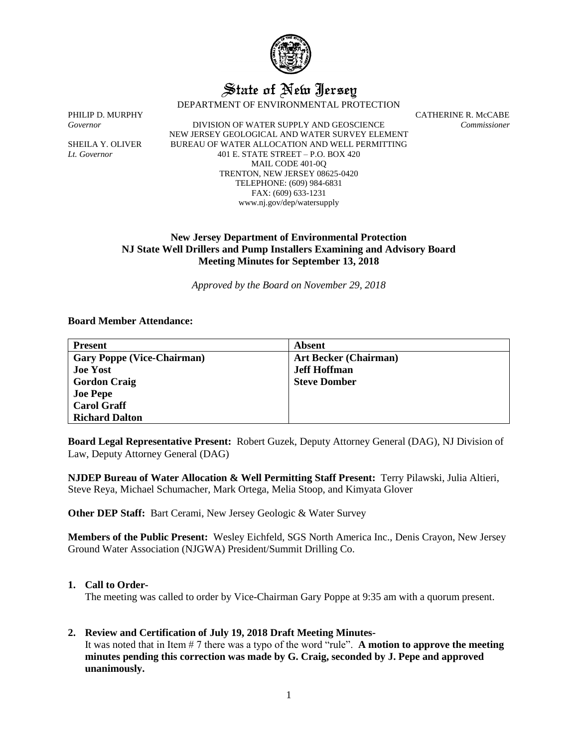

# State of New Jersey

DEPARTMENT OF ENVIRONMENTAL PROTECTION

*Governor* DIVISION OF WATER SUPPLY AND GEOSCIENCE *Commissioner* NEW JERSEY GEOLOGICAL AND WATER SURVEY ELEMENT SHEILA Y. OLIVER BUREAU OF WATER ALLOCATION AND WELL PERMITTING *Lt. Governor* 401 E. STATE STREET – P.O. BOX 420 MAIL CODE 401-0Q TRENTON, NEW JERSEY 08625-0420 TELEPHONE: (609) 984-6831 FAX: (609) 633-1231 www.nj.gov/dep/watersupply

PHILIP D. MURPHY CATHERINE R. McCABE

# **New Jersey Department of Environmental Protection NJ State Well Drillers and Pump Installers Examining and Advisory Board Meeting Minutes for September 13, 2018**

*Approved by the Board on November 29, 2018*

#### **Board Member Attendance:**

| <b>Present</b>                    | Absent                       |
|-----------------------------------|------------------------------|
| <b>Gary Poppe (Vice-Chairman)</b> | <b>Art Becker (Chairman)</b> |
| <b>Joe Yost</b>                   | <b>Jeff Hoffman</b>          |
| <b>Gordon Craig</b>               | <b>Steve Domber</b>          |
| <b>Joe Pepe</b>                   |                              |
| <b>Carol Graff</b>                |                              |
| <b>Richard Dalton</b>             |                              |

**Board Legal Representative Present:** Robert Guzek, Deputy Attorney General (DAG), NJ Division of Law, Deputy Attorney General (DAG)

**NJDEP Bureau of Water Allocation & Well Permitting Staff Present:** Terry Pilawski, Julia Altieri, Steve Reya, Michael Schumacher, Mark Ortega, Melia Stoop, and Kimyata Glover

**Other DEP Staff:** Bart Cerami, New Jersey Geologic & Water Survey

**Members of the Public Present:** Wesley Eichfeld, SGS North America Inc., Denis Crayon, New Jersey Ground Water Association (NJGWA) President/Summit Drilling Co.

#### **1. Call to Order-**

The meeting was called to order by Vice-Chairman Gary Poppe at 9:35 am with a quorum present.

# **2. Review and Certification of July 19, 2018 Draft Meeting Minutes-**

It was noted that in Item # 7 there was a typo of the word "rule". **A motion to approve the meeting minutes pending this correction was made by G. Craig, seconded by J. Pepe and approved unanimously.**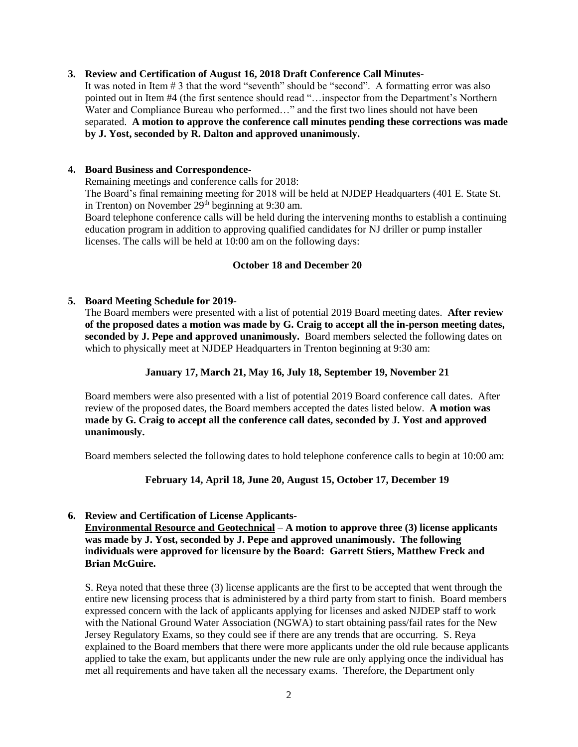#### **3. Review and Certification of August 16, 2018 Draft Conference Call Minutes-**

It was noted in Item # 3 that the word "seventh" should be "second". A formatting error was also pointed out in Item #4 (the first sentence should read "…inspector from the Department's Northern Water and Compliance Bureau who performed…" and the first two lines should not have been separated. **A motion to approve the conference call minutes pending these corrections was made by J. Yost, seconded by R. Dalton and approved unanimously.**

#### **4. Board Business and Correspondence-**

Remaining meetings and conference calls for 2018:

The Board's final remaining meeting for 2018 will be held at NJDEP Headquarters (401 E. State St. in Trenton) on November  $29<sup>th</sup>$  beginning at 9:30 am.

Board telephone conference calls will be held during the intervening months to establish a continuing education program in addition to approving qualified candidates for NJ driller or pump installer licenses. The calls will be held at 10:00 am on the following days:

#### **October 18 and December 20**

# **5. Board Meeting Schedule for 2019-**

The Board members were presented with a list of potential 2019 Board meeting dates. **After review of the proposed dates a motion was made by G. Craig to accept all the in-person meeting dates, seconded by J. Pepe and approved unanimously.** Board members selected the following dates on which to physically meet at NJDEP Headquarters in Trenton beginning at 9:30 am:

#### **January 17, March 21, May 16, July 18, September 19, November 21**

Board members were also presented with a list of potential 2019 Board conference call dates. After review of the proposed dates, the Board members accepted the dates listed below. **A motion was made by G. Craig to accept all the conference call dates, seconded by J. Yost and approved unanimously.**

Board members selected the following dates to hold telephone conference calls to begin at 10:00 am:

# **February 14, April 18, June 20, August 15, October 17, December 19**

# **6. Review and Certification of License Applicants-**

**Environmental Resource and Geotechnical** – **A motion to approve three (3) license applicants was made by J. Yost, seconded by J. Pepe and approved unanimously. The following individuals were approved for licensure by the Board: Garrett Stiers, Matthew Freck and Brian McGuire.**

S. Reya noted that these three (3) license applicants are the first to be accepted that went through the entire new licensing process that is administered by a third party from start to finish. Board members expressed concern with the lack of applicants applying for licenses and asked NJDEP staff to work with the National Ground Water Association (NGWA) to start obtaining pass/fail rates for the New Jersey Regulatory Exams, so they could see if there are any trends that are occurring. S. Reya explained to the Board members that there were more applicants under the old rule because applicants applied to take the exam, but applicants under the new rule are only applying once the individual has met all requirements and have taken all the necessary exams. Therefore, the Department only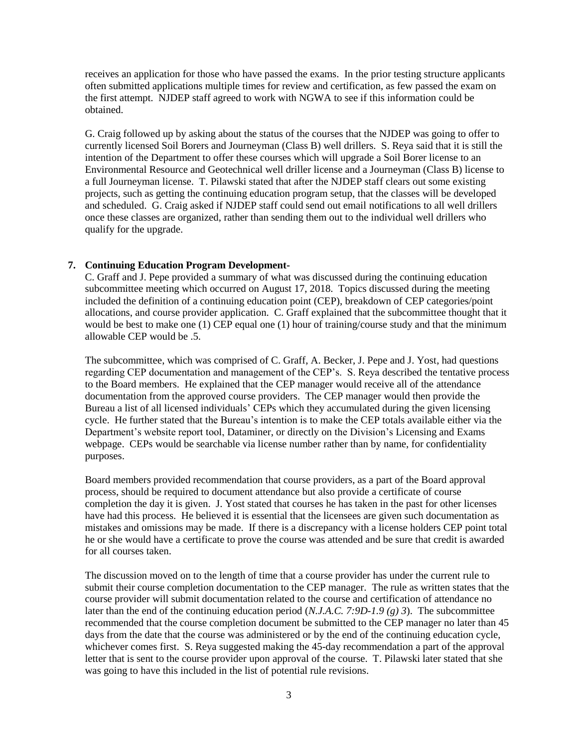receives an application for those who have passed the exams. In the prior testing structure applicants often submitted applications multiple times for review and certification, as few passed the exam on the first attempt. NJDEP staff agreed to work with NGWA to see if this information could be obtained.

G. Craig followed up by asking about the status of the courses that the NJDEP was going to offer to currently licensed Soil Borers and Journeyman (Class B) well drillers. S. Reya said that it is still the intention of the Department to offer these courses which will upgrade a Soil Borer license to an Environmental Resource and Geotechnical well driller license and a Journeyman (Class B) license to a full Journeyman license. T. Pilawski stated that after the NJDEP staff clears out some existing projects, such as getting the continuing education program setup, that the classes will be developed and scheduled. G. Craig asked if NJDEP staff could send out email notifications to all well drillers once these classes are organized, rather than sending them out to the individual well drillers who qualify for the upgrade.

#### **7. Continuing Education Program Development-**

C. Graff and J. Pepe provided a summary of what was discussed during the continuing education subcommittee meeting which occurred on August 17, 2018. Topics discussed during the meeting included the definition of a continuing education point (CEP), breakdown of CEP categories/point allocations, and course provider application. C. Graff explained that the subcommittee thought that it would be best to make one (1) CEP equal one (1) hour of training/course study and that the minimum allowable CEP would be .5.

The subcommittee, which was comprised of C. Graff, A. Becker, J. Pepe and J. Yost, had questions regarding CEP documentation and management of the CEP's. S. Reya described the tentative process to the Board members. He explained that the CEP manager would receive all of the attendance documentation from the approved course providers. The CEP manager would then provide the Bureau a list of all licensed individuals' CEPs which they accumulated during the given licensing cycle. He further stated that the Bureau's intention is to make the CEP totals available either via the Department's website report tool, Dataminer, or directly on the Division's Licensing and Exams webpage. CEPs would be searchable via license number rather than by name, for confidentiality purposes.

Board members provided recommendation that course providers, as a part of the Board approval process, should be required to document attendance but also provide a certificate of course completion the day it is given. J. Yost stated that courses he has taken in the past for other licenses have had this process. He believed it is essential that the licensees are given such documentation as mistakes and omissions may be made. If there is a discrepancy with a license holders CEP point total he or she would have a certificate to prove the course was attended and be sure that credit is awarded for all courses taken.

The discussion moved on to the length of time that a course provider has under the current rule to submit their course completion documentation to the CEP manager. The rule as written states that the course provider will submit documentation related to the course and certification of attendance no later than the end of the continuing education period (*N.J.A.C. 7:9D-1.9 (g) 3*). The subcommittee recommended that the course completion document be submitted to the CEP manager no later than 45 days from the date that the course was administered or by the end of the continuing education cycle, whichever comes first. S. Reya suggested making the 45-day recommendation a part of the approval letter that is sent to the course provider upon approval of the course. T. Pilawski later stated that she was going to have this included in the list of potential rule revisions.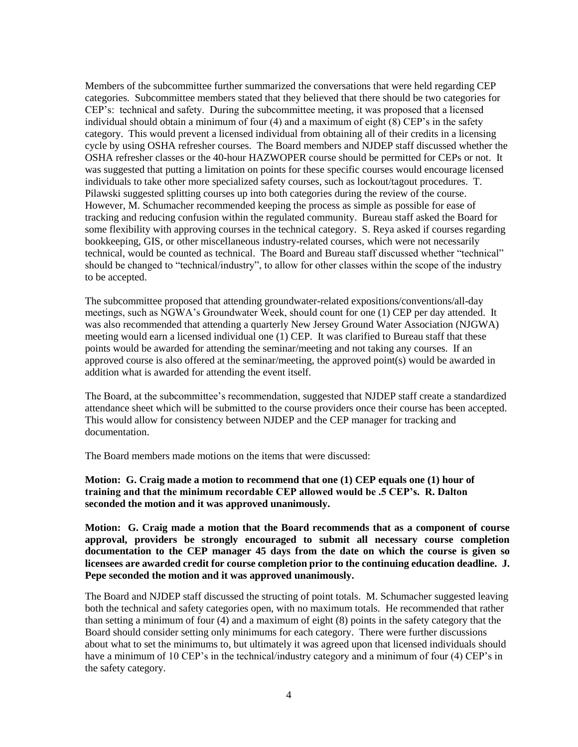Members of the subcommittee further summarized the conversations that were held regarding CEP categories. Subcommittee members stated that they believed that there should be two categories for CEP's: technical and safety. During the subcommittee meeting, it was proposed that a licensed individual should obtain a minimum of four (4) and a maximum of eight (8) CEP's in the safety category. This would prevent a licensed individual from obtaining all of their credits in a licensing cycle by using OSHA refresher courses. The Board members and NJDEP staff discussed whether the OSHA refresher classes or the 40-hour HAZWOPER course should be permitted for CEPs or not. It was suggested that putting a limitation on points for these specific courses would encourage licensed individuals to take other more specialized safety courses, such as lockout/tagout procedures. T. Pilawski suggested splitting courses up into both categories during the review of the course. However, M. Schumacher recommended keeping the process as simple as possible for ease of tracking and reducing confusion within the regulated community. Bureau staff asked the Board for some flexibility with approving courses in the technical category. S. Reya asked if courses regarding bookkeeping, GIS, or other miscellaneous industry-related courses, which were not necessarily technical, would be counted as technical. The Board and Bureau staff discussed whether "technical" should be changed to "technical/industry", to allow for other classes within the scope of the industry to be accepted.

The subcommittee proposed that attending groundwater-related expositions/conventions/all-day meetings, such as NGWA's Groundwater Week, should count for one (1) CEP per day attended. It was also recommended that attending a quarterly New Jersey Ground Water Association (NJGWA) meeting would earn a licensed individual one (1) CEP. It was clarified to Bureau staff that these points would be awarded for attending the seminar/meeting and not taking any courses. If an approved course is also offered at the seminar/meeting, the approved point(s) would be awarded in addition what is awarded for attending the event itself.

The Board, at the subcommittee's recommendation, suggested that NJDEP staff create a standardized attendance sheet which will be submitted to the course providers once their course has been accepted. This would allow for consistency between NJDEP and the CEP manager for tracking and documentation.

The Board members made motions on the items that were discussed:

**Motion: G. Craig made a motion to recommend that one (1) CEP equals one (1) hour of training and that the minimum recordable CEP allowed would be .5 CEP's. R. Dalton seconded the motion and it was approved unanimously.**

**Motion: G. Craig made a motion that the Board recommends that as a component of course approval, providers be strongly encouraged to submit all necessary course completion documentation to the CEP manager 45 days from the date on which the course is given so licensees are awarded credit for course completion prior to the continuing education deadline. J. Pepe seconded the motion and it was approved unanimously.**

The Board and NJDEP staff discussed the structing of point totals. M. Schumacher suggested leaving both the technical and safety categories open, with no maximum totals. He recommended that rather than setting a minimum of four (4) and a maximum of eight (8) points in the safety category that the Board should consider setting only minimums for each category. There were further discussions about what to set the minimums to, but ultimately it was agreed upon that licensed individuals should have a minimum of 10 CEP's in the technical/industry category and a minimum of four (4) CEP's in the safety category.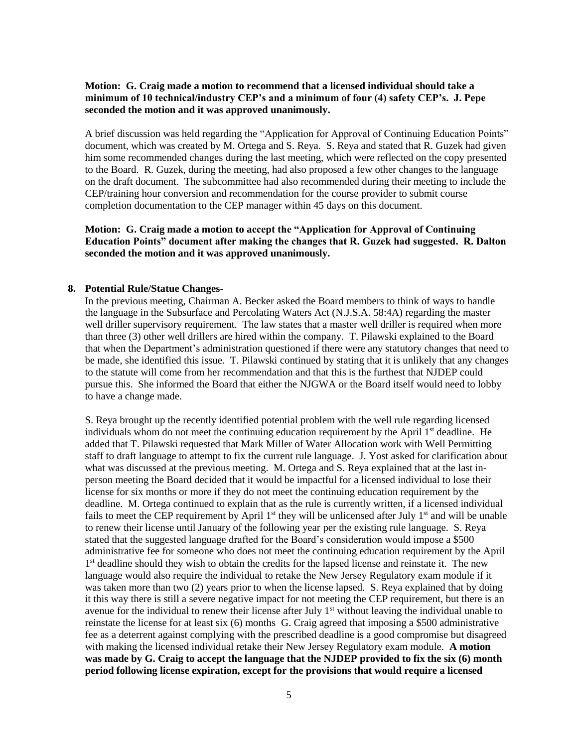#### **Motion: G. Craig made a motion to recommend that a licensed individual should take a minimum of 10 technical/industry CEP's and a minimum of four (4) safety CEP's. J. Pepe seconded the motion and it was approved unanimously.**

A brief discussion was held regarding the "Application for Approval of Continuing Education Points" document, which was created by M. Ortega and S. Reya. S. Reya and stated that R. Guzek had given him some recommended changes during the last meeting, which were reflected on the copy presented to the Board. R. Guzek, during the meeting, had also proposed a few other changes to the language on the draft document. The subcommittee had also recommended during their meeting to include the CEP/training hour conversion and recommendation for the course provider to submit course completion documentation to the CEP manager within 45 days on this document.

**Motion: G. Craig made a motion to accept the "Application for Approval of Continuing Education Points" document after making the changes that R. Guzek had suggested. R. Dalton seconded the motion and it was approved unanimously.**

#### **8. Potential Rule/Statue Changes-**

In the previous meeting, Chairman A. Becker asked the Board members to think of ways to handle the language in the Subsurface and Percolating Waters Act (N.J.S.A. 58:4A) regarding the master well driller supervisory requirement. The law states that a master well driller is required when more than three (3) other well drillers are hired within the company. T. Pilawski explained to the Board that when the Department's administration questioned if there were any statutory changes that need to be made, she identified this issue. T. Pilawski continued by stating that it is unlikely that any changes to the statute will come from her recommendation and that this is the furthest that NJDEP could pursue this. She informed the Board that either the NJGWA or the Board itself would need to lobby to have a change made.

S. Reya brought up the recently identified potential problem with the well rule regarding licensed individuals whom do not meet the continuing education requirement by the April  $1<sup>st</sup>$  deadline. He added that T. Pilawski requested that Mark Miller of Water Allocation work with Well Permitting staff to draft language to attempt to fix the current rule language. J. Yost asked for clarification about what was discussed at the previous meeting. M. Ortega and S. Reya explained that at the last inperson meeting the Board decided that it would be impactful for a licensed individual to lose their license for six months or more if they do not meet the continuing education requirement by the deadline. M. Ortega continued to explain that as the rule is currently written, if a licensed individual fails to meet the CEP requirement by April  $1<sup>st</sup>$  they will be unlicensed after July  $1<sup>st</sup>$  and will be unable to renew their license until January of the following year per the existing rule language. S. Reya stated that the suggested language drafted for the Board's consideration would impose a \$500 administrative fee for someone who does not meet the continuing education requirement by the April 1<sup>st</sup> deadline should they wish to obtain the credits for the lapsed license and reinstate it. The new language would also require the individual to retake the New Jersey Regulatory exam module if it was taken more than two (2) years prior to when the license lapsed. S. Reya explained that by doing it this way there is still a severe negative impact for not meeting the CEP requirement, but there is an avenue for the individual to renew their license after July  $1<sup>st</sup>$  without leaving the individual unable to reinstate the license for at least six (6) months G. Craig agreed that imposing a \$500 administrative fee as a deterrent against complying with the prescribed deadline is a good compromise but disagreed with making the licensed individual retake their New Jersey Regulatory exam module. **A motion was made by G. Craig to accept the language that the NJDEP provided to fix the six (6) month period following license expiration, except for the provisions that would require a licensed**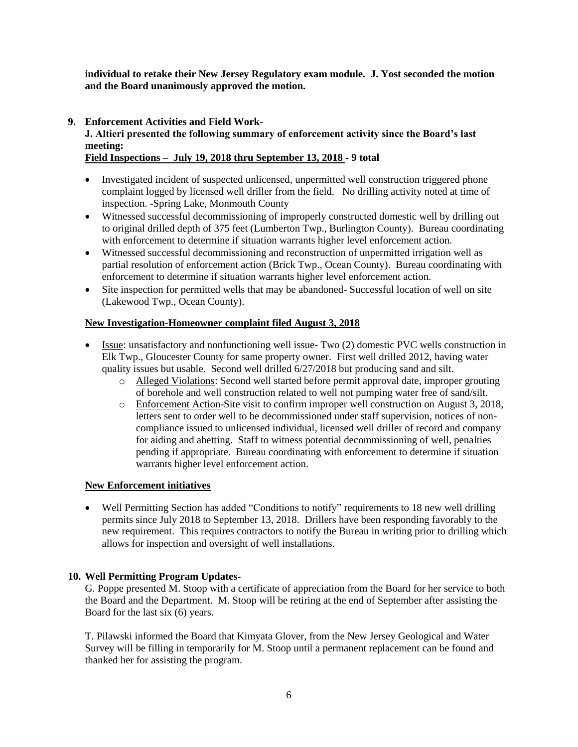**individual to retake their New Jersey Regulatory exam module. J. Yost seconded the motion and the Board unanimously approved the motion.**

**9. Enforcement Activities and Field Work-**

# **J. Altieri presented the following summary of enforcement activity since the Board's last meeting:**

**Field Inspections – July 19, 2018 thru September 13, 2018 - 9 total**

- Investigated incident of suspected unlicensed, unpermitted well construction triggered phone complaint logged by licensed well driller from the field. No drilling activity noted at time of inspection. -Spring Lake, Monmouth County
- Witnessed successful decommissioning of improperly constructed domestic well by drilling out to original drilled depth of 375 feet (Lumberton Twp., Burlington County). Bureau coordinating with enforcement to determine if situation warrants higher level enforcement action.
- Witnessed successful decommissioning and reconstruction of unpermitted irrigation well as partial resolution of enforcement action (Brick Twp., Ocean County). Bureau coordinating with enforcement to determine if situation warrants higher level enforcement action.
- Site inspection for permitted wells that may be abandoned-Successful location of well on site (Lakewood Twp., Ocean County).

# **New Investigation-Homeowner complaint filed August 3, 2018**

- Issue: unsatisfactory and nonfunctioning well issue-Two (2) domestic PVC wells construction in Elk Twp., Gloucester County for same property owner. First well drilled 2012, having water quality issues but usable. Second well drilled 6/27/2018 but producing sand and silt.
	- o Alleged Violations: Second well started before permit approval date, improper grouting of borehole and well construction related to well not pumping water free of sand/silt.
	- o Enforcement Action-Site visit to confirm improper well construction on August 3, 2018, letters sent to order well to be decommissioned under staff supervision, notices of noncompliance issued to unlicensed individual, licensed well driller of record and company for aiding and abetting. Staff to witness potential decommissioning of well, penalties pending if appropriate. Bureau coordinating with enforcement to determine if situation warrants higher level enforcement action.

# **New Enforcement initiatives**

• Well Permitting Section has added "Conditions to notify" requirements to 18 new well drilling permits since July 2018 to September 13, 2018. Drillers have been responding favorably to the new requirement. This requires contractors to notify the Bureau in writing prior to drilling which allows for inspection and oversight of well installations.

# **10. Well Permitting Program Updates-**

G. Poppe presented M. Stoop with a certificate of appreciation from the Board for her service to both the Board and the Department. M. Stoop will be retiring at the end of September after assisting the Board for the last six (6) years.

T. Pilawski informed the Board that Kimyata Glover, from the New Jersey Geological and Water Survey will be filling in temporarily for M. Stoop until a permanent replacement can be found and thanked her for assisting the program.